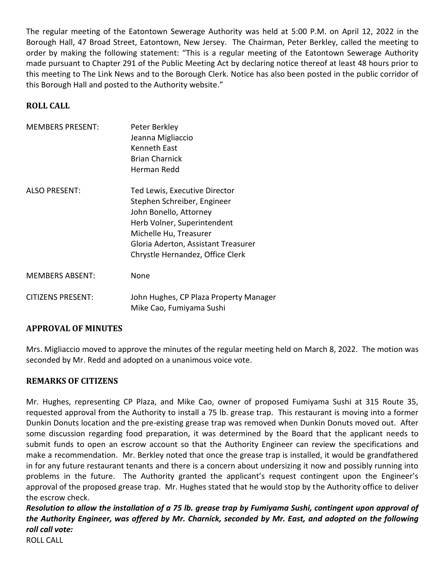The regular meeting of the Eatontown Sewerage Authority was held at 5:00 P.M. on April 12, 2022 in the Borough Hall, 47 Broad Street, Eatontown, New Jersey. The Chairman, Peter Berkley, called the meeting to order by making the following statement: "This is a regular meeting of the Eatontown Sewerage Authority made pursuant to Chapter 291 of the Public Meeting Act by declaring notice thereof at least 48 hours prior to this meeting to The Link News and to the Borough Clerk. Notice has also been posted in the public corridor of this Borough Hall and posted to the Authority website."

# **ROLL CALL**

| <b>MEMBERS PRESENT:</b>  | Peter Berkley<br>Jeanna Migliaccio<br>Kenneth East<br><b>Brian Charnick</b><br>Herman Redd                                                                                                                                 |
|--------------------------|----------------------------------------------------------------------------------------------------------------------------------------------------------------------------------------------------------------------------|
| <b>ALSO PRESENT:</b>     | Ted Lewis, Executive Director<br>Stephen Schreiber, Engineer<br>John Bonello, Attorney<br>Herb Volner, Superintendent<br>Michelle Hu, Treasurer<br>Gloria Aderton, Assistant Treasurer<br>Chrystle Hernandez, Office Clerk |
| <b>MEMBERS ABSENT:</b>   | None                                                                                                                                                                                                                       |
| <b>CITIZENS PRESENT:</b> | John Hughes, CP Plaza Property Manager<br>Mike Cao, Fumiyama Sushi                                                                                                                                                         |

# **APPROVAL OF MINUTES**

Mrs. Migliaccio moved to approve the minutes of the regular meeting held on March 8, 2022. The motion was seconded by Mr. Redd and adopted on a unanimous voice vote.

# **REMARKS OF CITIZENS**

Mr. Hughes, representing CP Plaza, and Mike Cao, owner of proposed Fumiyama Sushi at 315 Route 35, requested approval from the Authority to install a 75 lb. grease trap. This restaurant is moving into a former Dunkin Donuts location and the pre-existing grease trap was removed when Dunkin Donuts moved out. After some discussion regarding food preparation, it was determined by the Board that the applicant needs to submit funds to open an escrow account so that the Authority Engineer can review the specifications and make a recommendation. Mr. Berkley noted that once the grease trap is installed, it would be grandfathered in for any future restaurant tenants and there is a concern about undersizing it now and possibly running into problems in the future. The Authority granted the applicant's request contingent upon the Engineer's approval of the proposed grease trap. Mr. Hughes stated that he would stop by the Authority office to deliver the escrow check.

*Resolution to allow the installation of a 75 lb. grease trap by Fumiyama Sushi, contingent upon approval of the Authority Engineer, was offered by Mr. Charnick, seconded by Mr. East, and adopted on the following roll call vote:* 

ROLL CALL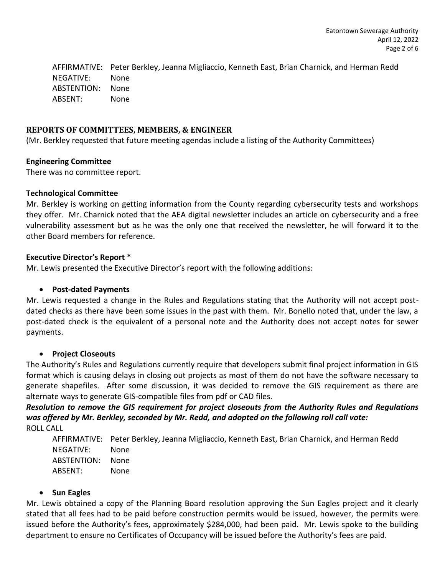AFFIRMATIVE: Peter Berkley, Jeanna Migliaccio, Kenneth East, Brian Charnick, and Herman Redd NEGATIVE: None ABSTENTION: None ABSENT: None

# **REPORTS OF COMMITTEES, MEMBERS, & ENGINEER**

(Mr. Berkley requested that future meeting agendas include a listing of the Authority Committees)

## **Engineering Committee**

There was no committee report.

## **Technological Committee**

Mr. Berkley is working on getting information from the County regarding cybersecurity tests and workshops they offer. Mr. Charnick noted that the AEA digital newsletter includes an article on cybersecurity and a free vulnerability assessment but as he was the only one that received the newsletter, he will forward it to the other Board members for reference.

## **Executive Director's Report \***

Mr. Lewis presented the Executive Director's report with the following additions:

# • **Post-dated Payments**

Mr. Lewis requested a change in the Rules and Regulations stating that the Authority will not accept postdated checks as there have been some issues in the past with them. Mr. Bonello noted that, under the law, a post-dated check is the equivalent of a personal note and the Authority does not accept notes for sewer payments.

# • **Project Closeouts**

The Authority's Rules and Regulations currently require that developers submit final project information in GIS format which is causing delays in closing out projects as most of them do not have the software necessary to generate shapefiles. After some discussion, it was decided to remove the GIS requirement as there are alternate ways to generate GIS-compatible files from pdf or CAD files.

*Resolution to remove the GIS requirement for project closeouts from the Authority Rules and Regulations was offered by Mr. Berkley, seconded by Mr. Redd, and adopted on the following roll call vote:* 

ROLL CALL

AFFIRMATIVE: Peter Berkley, Jeanna Migliaccio, Kenneth East, Brian Charnick, and Herman Redd NEGATIVE: None ABSTENTION: None ABSENT: None

# • **Sun Eagles**

Mr. Lewis obtained a copy of the Planning Board resolution approving the Sun Eagles project and it clearly stated that all fees had to be paid before construction permits would be issued, however, the permits were issued before the Authority's fees, approximately \$284,000, had been paid. Mr. Lewis spoke to the building department to ensure no Certificates of Occupancy will be issued before the Authority's fees are paid.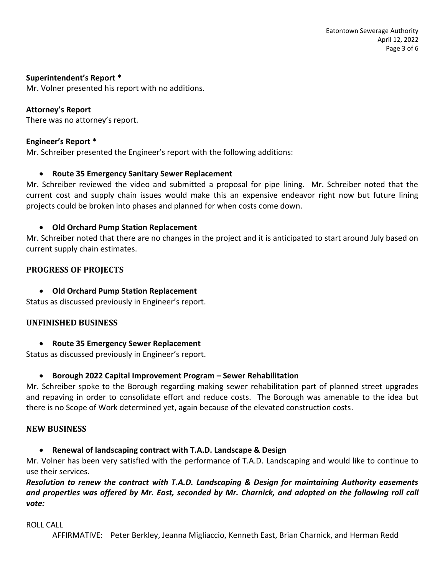### **Superintendent's Report \***

Mr. Volner presented his report with no additions.

# **Attorney's Report**

There was no attorney's report.

#### **Engineer's Report \***

Mr. Schreiber presented the Engineer's report with the following additions:

#### • **Route 35 Emergency Sanitary Sewer Replacement**

Mr. Schreiber reviewed the video and submitted a proposal for pipe lining. Mr. Schreiber noted that the current cost and supply chain issues would make this an expensive endeavor right now but future lining projects could be broken into phases and planned for when costs come down.

#### • **Old Orchard Pump Station Replacement**

Mr. Schreiber noted that there are no changes in the project and it is anticipated to start around July based on current supply chain estimates.

## **PROGRESS OF PROJECTS**

• **Old Orchard Pump Station Replacement**

Status as discussed previously in Engineer's report.

#### **UNFINISHED BUSINESS**

• **Route 35 Emergency Sewer Replacement**

Status as discussed previously in Engineer's report.

#### • **Borough 2022 Capital Improvement Program – Sewer Rehabilitation**

Mr. Schreiber spoke to the Borough regarding making sewer rehabilitation part of planned street upgrades and repaving in order to consolidate effort and reduce costs. The Borough was amenable to the idea but there is no Scope of Work determined yet, again because of the elevated construction costs.

#### **NEW BUSINESS**

• **Renewal of landscaping contract with T.A.D. Landscape & Design**

Mr. Volner has been very satisfied with the performance of T.A.D. Landscaping and would like to continue to use their services.

# *Resolution to renew the contract with T.A.D. Landscaping & Design for maintaining Authority easements and properties was offered by Mr. East, seconded by Mr. Charnick, and adopted on the following roll call vote:*

#### ROLL CALL

AFFIRMATIVE: Peter Berkley, Jeanna Migliaccio, Kenneth East, Brian Charnick, and Herman Redd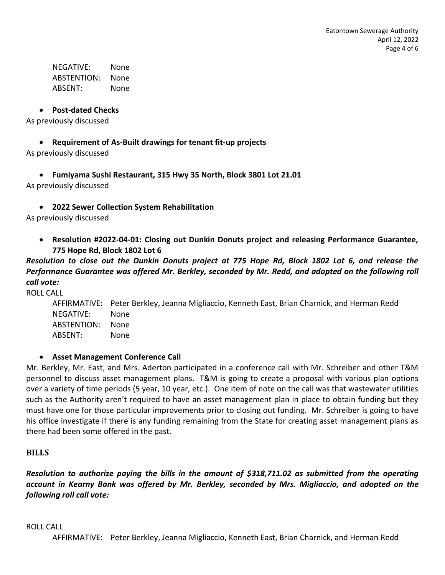NEGATIVE: None ABSTENTION: None ABSENT: None

#### • **Post-dated Checks**

As previously discussed

### • **Requirement of As-Built drawings for tenant fit-up projects**

As previously discussed

• **Fumiyama Sushi Restaurant, 315 Hwy 35 North, Block 3801 Lot 21.01**

As previously discussed

• **2022 Sewer Collection System Rehabilitation**

As previously discussed

• **Resolution #2022-04-01: Closing out Dunkin Donuts project and releasing Performance Guarantee, 775 Hope Rd, Block 1802 Lot 6**

*Resolution to close out the Dunkin Donuts project at 775 Hope Rd, Block 1802 Lot 6, and release the Performance Guarantee was offered Mr. Berkley, seconded by Mr. Redd, and adopted on the following roll call vote:* 

ROLL CALL

AFFIRMATIVE: Peter Berkley, Jeanna Migliaccio, Kenneth East, Brian Charnick, and Herman Redd NEGATIVE: None ABSTENTION: None ABSENT: None

#### • **Asset Management Conference Call**

Mr. Berkley, Mr. East, and Mrs. Aderton participated in a conference call with Mr. Schreiber and other T&M personnel to discuss asset management plans. T&M is going to create a proposal with various plan options over a variety of time periods (5 year, 10 year, etc.). One item of note on the call was that wastewater utilities such as the Authority aren't required to have an asset management plan in place to obtain funding but they must have one for those particular improvements prior to closing out funding. Mr. Schreiber is going to have his office investigate if there is any funding remaining from the State for creating asset management plans as there had been some offered in the past.

#### **BILLS**

*Resolution to authorize paying the bills in the amount of \$318,711.02 as submitted from the operating account in Kearny Bank was offered by Mr. Berkley, seconded by Mrs. Migliaccio, and adopted on the following roll call vote:* 

#### ROLL CALL

AFFIRMATIVE: Peter Berkley, Jeanna Migliaccio, Kenneth East, Brian Charnick, and Herman Redd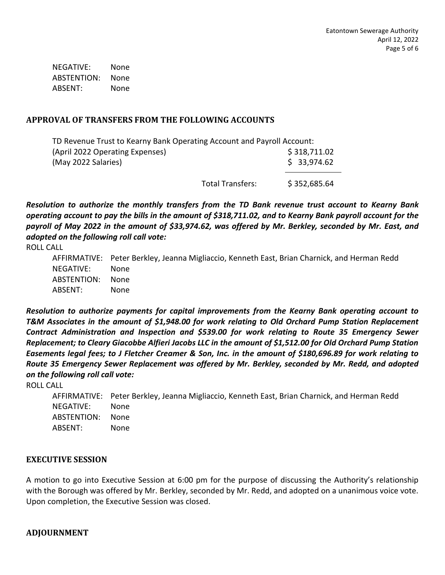NEGATIVE: None ABSTENTION: None ABSENT: None

# **APPROVAL OF TRANSFERS FROM THE FOLLOWING ACCOUNTS**

| TD Revenue Trust to Kearny Bank Operating Account and Payroll Account: |                  |              |
|------------------------------------------------------------------------|------------------|--------------|
| (April 2022 Operating Expenses)                                        |                  | \$318,711.02 |
| (May 2022 Salaries)                                                    |                  | \$33,974.62  |
|                                                                        | Total Transfers: | \$352,685.64 |

*Resolution to authorize the monthly transfers from the TD Bank revenue trust account to Kearny Bank operating account to pay the bills in the amount of \$318,711.02, and to Kearny Bank payroll account for the payroll of May 2022 in the amount of \$33,974.62, was offered by Mr. Berkley, seconded by Mr. East, and adopted on the following roll call vote:*

ROLL CALL

|             | AFFIRMATIVE: Peter Berkley, Jeanna Migliaccio, Kenneth East, Brian Charnick, and Herman Redd |
|-------------|----------------------------------------------------------------------------------------------|
| NEGATIVE:   | <b>None</b>                                                                                  |
| ABSTENTION: | None                                                                                         |
| ABSENT:     | None                                                                                         |

*Resolution to authorize payments for capital improvements from the Kearny Bank operating account to T&M Associates in the amount of \$1,948.00 for work relating to Old Orchard Pump Station Replacement Contract Administration and Inspection and \$539.00 for work relating to Route 35 Emergency Sewer Replacement; to Cleary Giacobbe Alfieri Jacobs LLC in the amount of \$1,512.00 for Old Orchard Pump Station Easements legal fees; to J Fletcher Creamer & Son, Inc. in the amount of \$180,696.89 for work relating to Route 35 Emergency Sewer Replacement was offered by Mr. Berkley, seconded by Mr. Redd, and adopted on the following roll call vote:* 

ROLL CALL

|             | AFFIRMATIVE: Peter Berkley, Jeanna Migliaccio, Kenneth East, Brian Charnick, and Herman Redd |
|-------------|----------------------------------------------------------------------------------------------|
| NEGATIVE:   | None.                                                                                        |
| ABSTENTION: | None                                                                                         |
| ABSENT:     | None.                                                                                        |

#### **EXECUTIVE SESSION**

A motion to go into Executive Session at 6:00 pm for the purpose of discussing the Authority's relationship with the Borough was offered by Mr. Berkley, seconded by Mr. Redd, and adopted on a unanimous voice vote. Upon completion, the Executive Session was closed.

# **ADJOURNMENT**